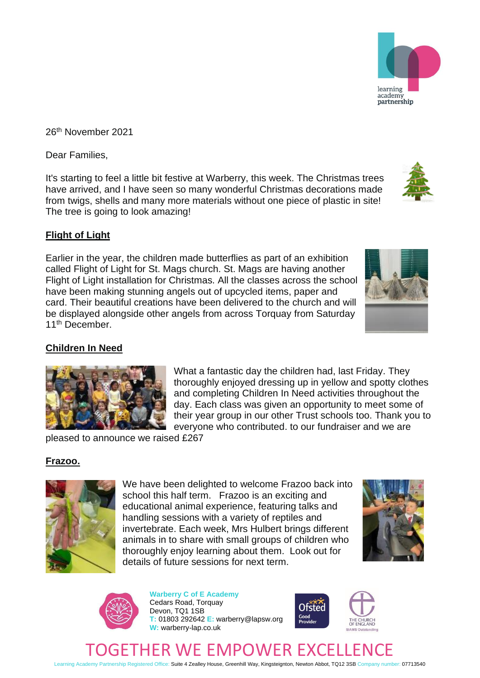Learning Academy Partnership Registered Office: Suite 4 Zealley House, Greenhill Way, Kingsteignton, Newton Abbot, TQ12 3SB Company number: 07713540

26th November 2021

Dear Families,

It's starting to feel a little bit festive at Warberry, this week. The Christmas trees have arrived, and I have seen so many wonderful Christmas decorations made from twigs, shells and many more materials without one piece of plastic in site! The tree is going to look amazing!

## **Flight of Light**

Earlier in the year, the children made butterflies as part of an exhibition called Flight of Light for St. Mags church. St. Mags are having another Flight of Light installation for Christmas. All the classes across the school have been making stunning angels out of upcycled items, paper and card. Their beautiful creations have been delivered to the church and will be displayed alongside other angels from across Torquay from Saturday 11th December.

## **Children In Need**

What a fantastic day the children had, last Friday. They thoroughly enjoyed dressing up in yellow and spotty clothes and completing Children In Need activities throughout the day. Each class was given an opportunity to meet some of their year group in our other Trust schools too. Thank you to everyone who contributed. to our fundraiser and we are

pleased to announce we raised £267

## **Frazoo.**

We have been delighted to welcome Frazoo back into school this half term. Frazoo is an exciting and educational animal experience, featuring talks and handling sessions with a variety of reptiles and invertebrate. Each week, Mrs Hulbert brings different animals in to share with small groups of children who thoroughly enjoy learning about them. Look out for details of future sessions for next term.

> **Warberry C of E Academy** Cedars Road, Torquay Devon, TQ1 1SB **T:** 01803 292642 **E:** warberry@lapsw.org **W:** warberry-lap.co.uk